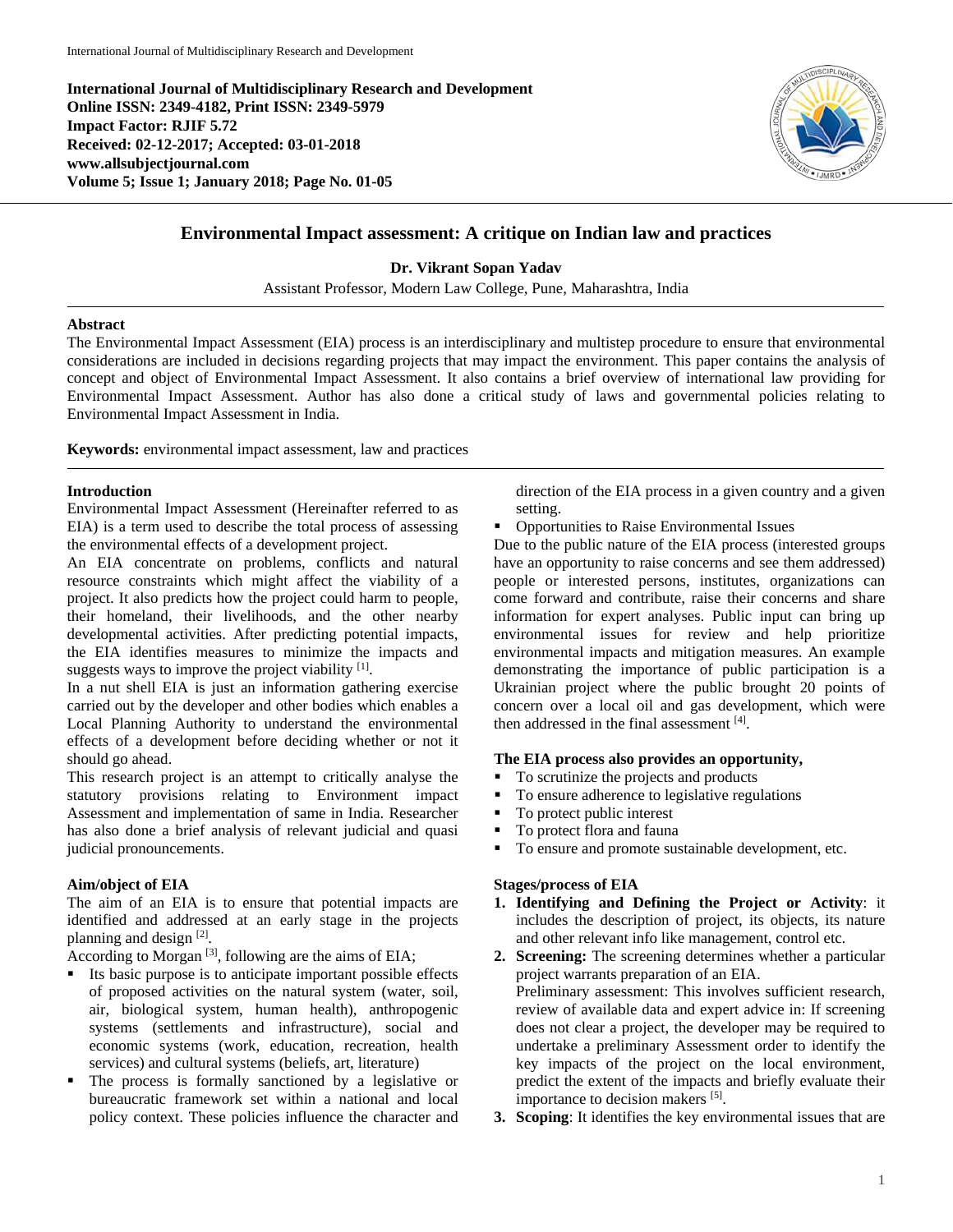**International Journal of Multidisciplinary Research and Development Online ISSN: 2349-4182, Print ISSN: 2349-5979 Impact Factor: RJIF 5.72 Received: 02-12-2017; Accepted: 03-01-2018 www.allsubjectjournal.com Volume 5; Issue 1; January 2018; Page No. 01-05**



# **Environmental Impact assessment: A critique on Indian law and practices**

**Dr. Vikrant Sopan Yadav**

Assistant Professor, Modern Law College, Pune, Maharashtra, India

## **Abstract**

The Environmental Impact Assessment (EIA) process is an interdisciplinary and multistep procedure to ensure that environmental considerations are included in decisions regarding projects that may impact the environment. This paper contains the analysis of concept and object of Environmental Impact Assessment. It also contains a brief overview of international law providing for Environmental Impact Assessment. Author has also done a critical study of laws and governmental policies relating to Environmental Impact Assessment in India.

**Keywords:** environmental impact assessment, law and practices

## **Introduction**

Environmental Impact Assessment (Hereinafter referred to as EIA) is a term used to describe the total process of assessing the environmental effects of a development project.

An EIA concentrate on problems, conflicts and natural resource constraints which might affect the viability of a project. It also predicts how the project could harm to people, their homeland, their livelihoods, and the other nearby developmental activities. After predicting potential impacts, the EIA identifies measures to minimize the impacts and suggests ways to improve the project viability <sup>[1]</sup>.

In a nut shell EIA is just an information gathering exercise carried out by the developer and other bodies which enables a Local Planning Authority to understand the environmental effects of a development before deciding whether or not it should go ahead.

This research project is an attempt to critically analyse the statutory provisions relating to Environment impact Assessment and implementation of same in India. Researcher has also done a brief analysis of relevant judicial and quasi judicial pronouncements.

# **Aim/object of EIA**

The aim of an EIA is to ensure that potential impacts are identified and addressed at an early stage in the projects planning and design [2].

According to Morgan<sup>[3]</sup>, following are the aims of EIA;

- Its basic purpose is to anticipate important possible effects of proposed activities on the natural system (water, soil, air, biological system, human health), anthropogenic systems (settlements and infrastructure), social and economic systems (work, education, recreation, health services) and cultural systems (beliefs, art, literature)
- The process is formally sanctioned by a legislative or bureaucratic framework set within a national and local policy context. These policies influence the character and

direction of the EIA process in a given country and a given setting.

Opportunities to Raise Environmental Issues

Due to the public nature of the EIA process (interested groups have an opportunity to raise concerns and see them addressed) people or interested persons, institutes, organizations can come forward and contribute, raise their concerns and share information for expert analyses. Public input can bring up environmental issues for review and help prioritize environmental impacts and mitigation measures. An example demonstrating the importance of public participation is a Ukrainian project where the public brought 20 points of concern over a local oil and gas development, which were then addressed in the final assessment [4].

#### **The EIA process also provides an opportunity,**

- To scrutinize the projects and products<br>■ To ensure adherence to legislative regularity
- To ensure adherence to legislative regulations
- To protect public interest
- To protect flora and fauna
- To ensure and promote sustainable development, etc.

# **Stages/process of EIA**

- **1. Identifying and Defining the Project or Activity**: it includes the description of project, its objects, its nature and other relevant info like management, control etc.
- **2. Screening:** The screening determines whether a particular project warrants preparation of an EIA. Preliminary assessment: This involves sufficient research, review of available data and expert advice in: If screening does not clear a project, the developer may be required to undertake a preliminary Assessment order to identify the key impacts of the project on the local environment, predict the extent of the impacts and briefly evaluate their importance to decision makers [5].
- **3. Scoping**: It identifies the key environmental issues that are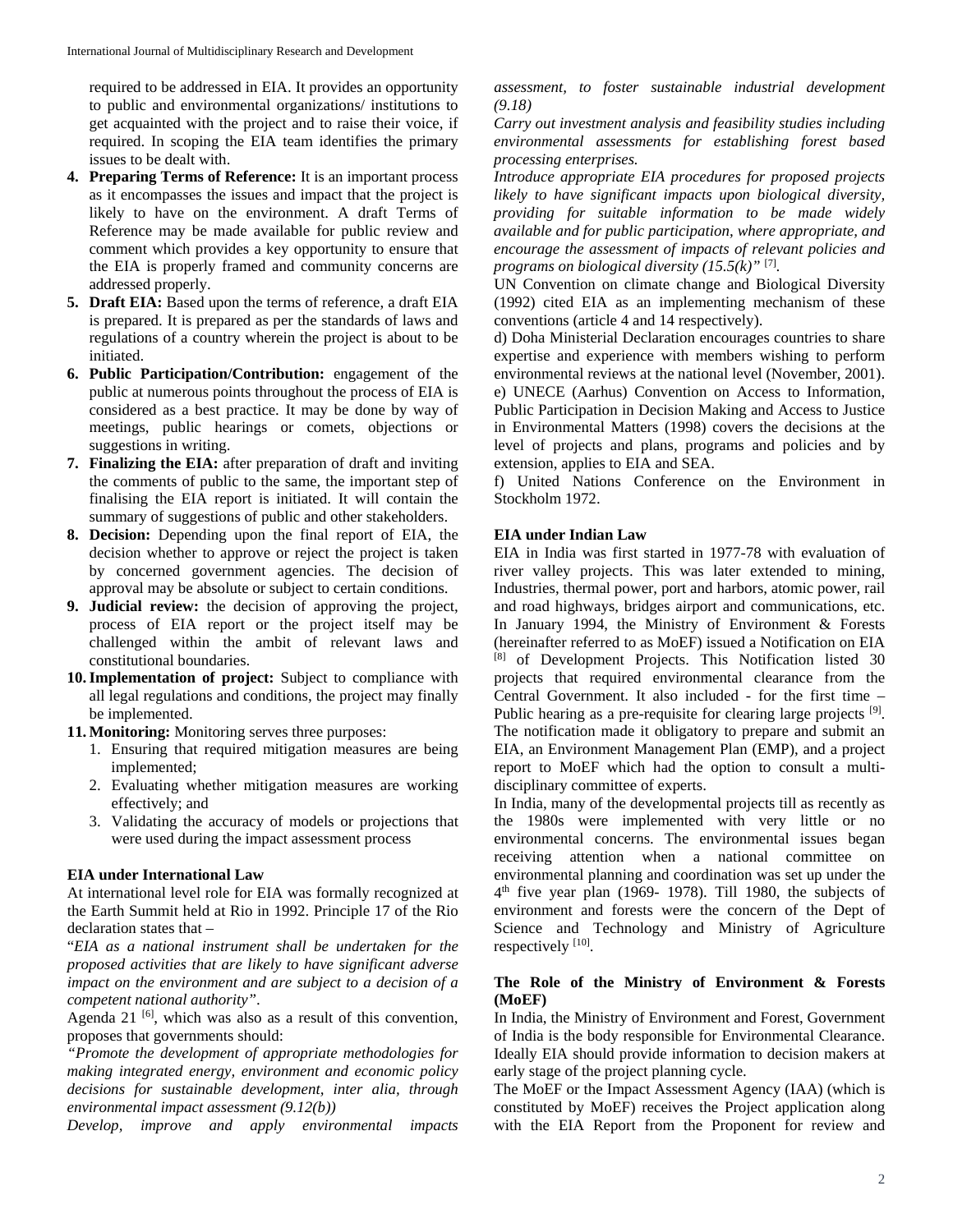required to be addressed in EIA. It provides an opportunity to public and environmental organizations/ institutions to get acquainted with the project and to raise their voice, if required. In scoping the EIA team identifies the primary issues to be dealt with.

- **4. Preparing Terms of Reference:** It is an important process as it encompasses the issues and impact that the project is likely to have on the environment. A draft Terms of Reference may be made available for public review and comment which provides a key opportunity to ensure that the EIA is properly framed and community concerns are addressed properly.
- **5. Draft EIA:** Based upon the terms of reference, a draft EIA is prepared. It is prepared as per the standards of laws and regulations of a country wherein the project is about to be initiated.
- **6. Public Participation/Contribution:** engagement of the public at numerous points throughout the process of EIA is considered as a best practice. It may be done by way of meetings, public hearings or comets, objections or suggestions in writing.
- **7. Finalizing the EIA:** after preparation of draft and inviting the comments of public to the same, the important step of finalising the EIA report is initiated. It will contain the summary of suggestions of public and other stakeholders.
- **8. Decision:** Depending upon the final report of EIA, the decision whether to approve or reject the project is taken by concerned government agencies. The decision of approval may be absolute or subject to certain conditions.
- **9. Judicial review:** the decision of approving the project, process of EIA report or the project itself may be challenged within the ambit of relevant laws and constitutional boundaries.
- **10.Implementation of project:** Subject to compliance with all legal regulations and conditions, the project may finally be implemented.
- **11. Monitoring:** Monitoring serves three purposes:
	- 1. Ensuring that required mitigation measures are being implemented;
	- 2. Evaluating whether mitigation measures are working effectively; and
	- 3. Validating the accuracy of models or projections that were used during the impact assessment process

# **EIA under International Law**

At international level role for EIA was formally recognized at the Earth Summit held at Rio in 1992. Principle 17 of the Rio declaration states that –

"*EIA as a national instrument shall be undertaken for the proposed activities that are likely to have significant adverse impact on the environment and are subject to a decision of a competent national authority"*.

Agenda 21 $[6]$ , which was also as a result of this convention, proposes that governments should:

*"Promote the development of appropriate methodologies for making integrated energy, environment and economic policy decisions for sustainable development, inter alia, through environmental impact assessment (9.12(b))* 

*Develop, improve and apply environmental impacts* 

*assessment, to foster sustainable industrial development (9.18)* 

*Carry out investment analysis and feasibility studies including environmental assessments for establishing forest based processing enterprises.* 

*Introduce appropriate EIA procedures for proposed projects likely to have significant impacts upon biological diversity, providing for suitable information to be made widely available and for public participation, where appropriate, and encourage the assessment of impacts of relevant policies and programs on biological diversity (15.5(k)"* [7]*.*

UN Convention on climate change and Biological Diversity (1992) cited EIA as an implementing mechanism of these conventions (article 4 and 14 respectively).

d) Doha Ministerial Declaration encourages countries to share expertise and experience with members wishing to perform environmental reviews at the national level (November, 2001). e) UNECE (Aarhus) Convention on Access to Information, Public Participation in Decision Making and Access to Justice in Environmental Matters (1998) covers the decisions at the level of projects and plans, programs and policies and by extension, applies to EIA and SEA.

f) United Nations Conference on the Environment in Stockholm 1972.

# **EIA under Indian Law**

EIA in India was first started in 1977-78 with evaluation of river valley projects. This was later extended to mining, Industries, thermal power, port and harbors, atomic power, rail and road highways, bridges airport and communications, etc. In January 1994, the Ministry of Environment & Forests (hereinafter referred to as MoEF) issued a Notification on EIA [8] of Development Projects. This Notification listed 30 projects that required environmental clearance from the Central Government. It also included - for the first time – Public hearing as a pre-requisite for clearing large projects [9]. The notification made it obligatory to prepare and submit an EIA, an Environment Management Plan (EMP), and a project report to MoEF which had the option to consult a multidisciplinary committee of experts.

In India, many of the developmental projects till as recently as the 1980s were implemented with very little or no environmental concerns. The environmental issues began receiving attention when a national committee on environmental planning and coordination was set up under the  $4<sup>th</sup>$  five year plan (1969- 1978). Till 1980, the subjects of environment and forests were the concern of the Dept of Science and Technology and Ministry of Agriculture respectively [10].

# **The Role of the Ministry of Environment & Forests (MoEF)**

In India, the Ministry of Environment and Forest, Government of India is the body responsible for Environmental Clearance. Ideally EIA should provide information to decision makers at early stage of the project planning cycle.

The MoEF or the Impact Assessment Agency (IAA) (which is constituted by MoEF) receives the Project application along with the EIA Report from the Proponent for review and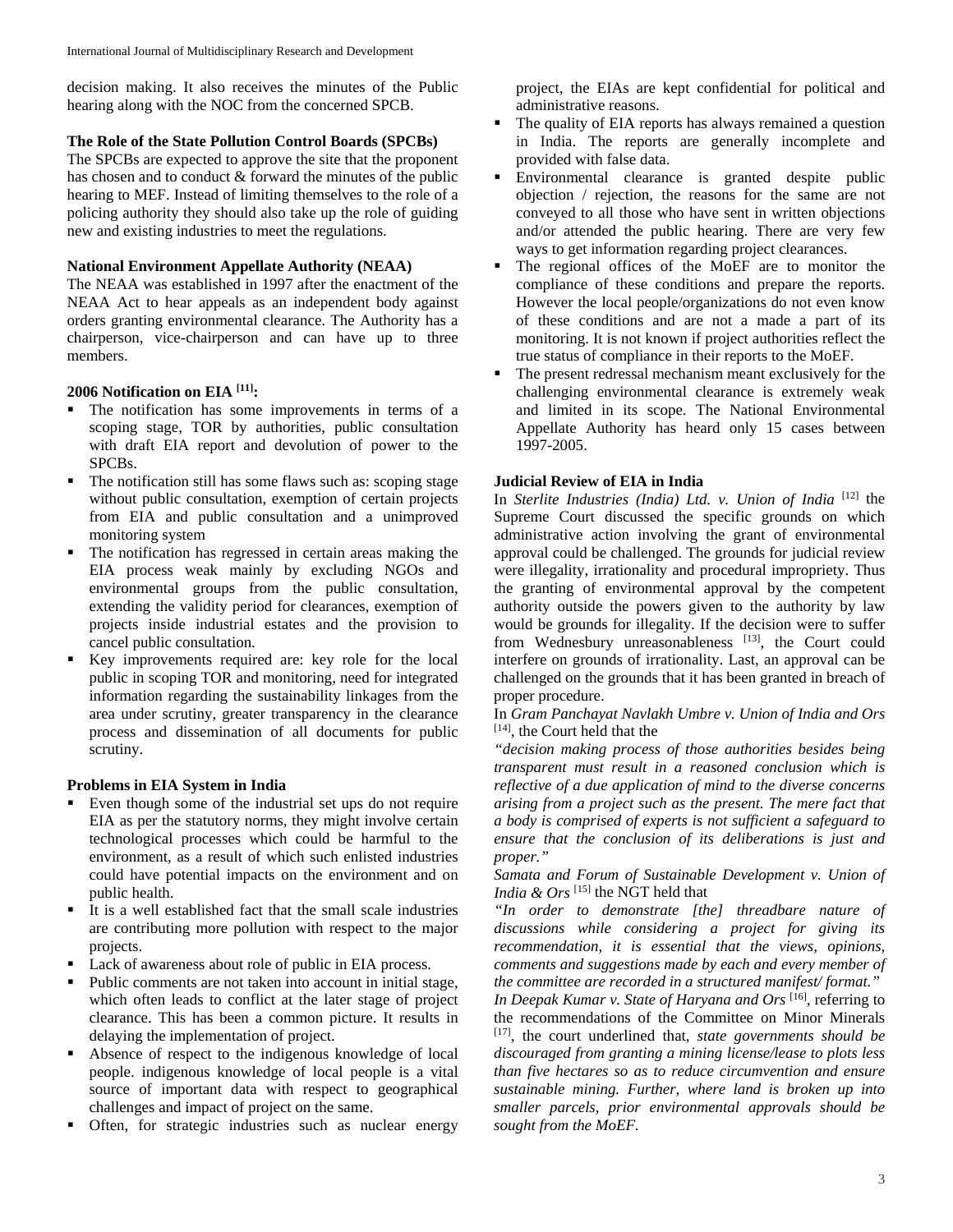decision making. It also receives the minutes of the Public hearing along with the NOC from the concerned SPCB.

#### **The Role of the State Pollution Control Boards (SPCBs)**

The SPCBs are expected to approve the site that the proponent has chosen and to conduct & forward the minutes of the public hearing to MEF. Instead of limiting themselves to the role of a policing authority they should also take up the role of guiding new and existing industries to meet the regulations.

### **National Environment Appellate Authority (NEAA)**

The NEAA was established in 1997 after the enactment of the NEAA Act to hear appeals as an independent body against orders granting environmental clearance. The Authority has a chairperson, vice-chairperson and can have up to three members.

## **2006 Notification on EIA [11]:**

- The notification has some improvements in terms of a scoping stage, TOR by authorities, public consultation with draft EIA report and devolution of power to the SPCBs.
- The notification still has some flaws such as: scoping stage without public consultation, exemption of certain projects from EIA and public consultation and a unimproved monitoring system
- The notification has regressed in certain areas making the EIA process weak mainly by excluding NGOs and environmental groups from the public consultation, extending the validity period for clearances, exemption of projects inside industrial estates and the provision to cancel public consultation.
- Key improvements required are: key role for the local public in scoping TOR and monitoring, need for integrated information regarding the sustainability linkages from the area under scrutiny, greater transparency in the clearance process and dissemination of all documents for public scrutiny.

### **Problems in EIA System in India**

- Even though some of the industrial set ups do not require EIA as per the statutory norms, they might involve certain technological processes which could be harmful to the environment, as a result of which such enlisted industries could have potential impacts on the environment and on public health.
- It is a well established fact that the small scale industries are contributing more pollution with respect to the major projects.
- Lack of awareness about role of public in EIA process.
- Public comments are not taken into account in initial stage, which often leads to conflict at the later stage of project clearance. This has been a common picture. It results in delaying the implementation of project.
- Absence of respect to the indigenous knowledge of local people. indigenous knowledge of local people is a vital source of important data with respect to geographical challenges and impact of project on the same.
- Often, for strategic industries such as nuclear energy

project, the EIAs are kept confidential for political and administrative reasons.

- The quality of EIA reports has always remained a question in India. The reports are generally incomplete and provided with false data.
- Environmental clearance is granted despite public objection / rejection, the reasons for the same are not conveyed to all those who have sent in written objections and/or attended the public hearing. There are very few ways to get information regarding project clearances.
- The regional offices of the MoEF are to monitor the compliance of these conditions and prepare the reports. However the local people/organizations do not even know of these conditions and are not a made a part of its monitoring. It is not known if project authorities reflect the true status of compliance in their reports to the MoEF.
- The present redressal mechanism meant exclusively for the challenging environmental clearance is extremely weak and limited in its scope. The National Environmental Appellate Authority has heard only 15 cases between 1997-2005.

### **Judicial Review of EIA in India**

In *Sterlite Industries (India) Ltd. v. Union of India* <sup>[12]</sup> the Supreme Court discussed the specific grounds on which administrative action involving the grant of environmental approval could be challenged. The grounds for judicial review were illegality, irrationality and procedural impropriety. Thus the granting of environmental approval by the competent authority outside the powers given to the authority by law would be grounds for illegality. If the decision were to suffer from Wednesbury unreasonableness [13], the Court could interfere on grounds of irrationality. Last, an approval can be challenged on the grounds that it has been granted in breach of proper procedure.

In *Gram Panchayat Navlakh Umbre v. Union of India and Ors*  [14]*,* the Court held that the

*"decision making process of those authorities besides being transparent must result in a reasoned conclusion which is reflective of a due application of mind to the diverse concerns arising from a project such as the present. The mere fact that a body is comprised of experts is not sufficient a safeguard to ensure that the conclusion of its deliberations is just and proper."*

*Samata and Forum of Sustainable Development v. Union of India & Ors*<sup>[15]</sup> the NGT held that

*"In order to demonstrate [the] threadbare nature of discussions while considering a project for giving its recommendation, it is essential that the views, opinions, comments and suggestions made by each and every member of the committee are recorded in a structured manifest/ format."*

*In Deepak Kumar v. State of Haryana and Ors* [16]*,* referring to the recommendations of the Committee on Minor Minerals [17], the court underlined that, *state governments should be discouraged from granting a mining license/lease to plots less than five hectares so as to reduce circumvention and ensure sustainable mining. Further, where land is broken up into smaller parcels, prior environmental approvals should be sought from the MoEF.*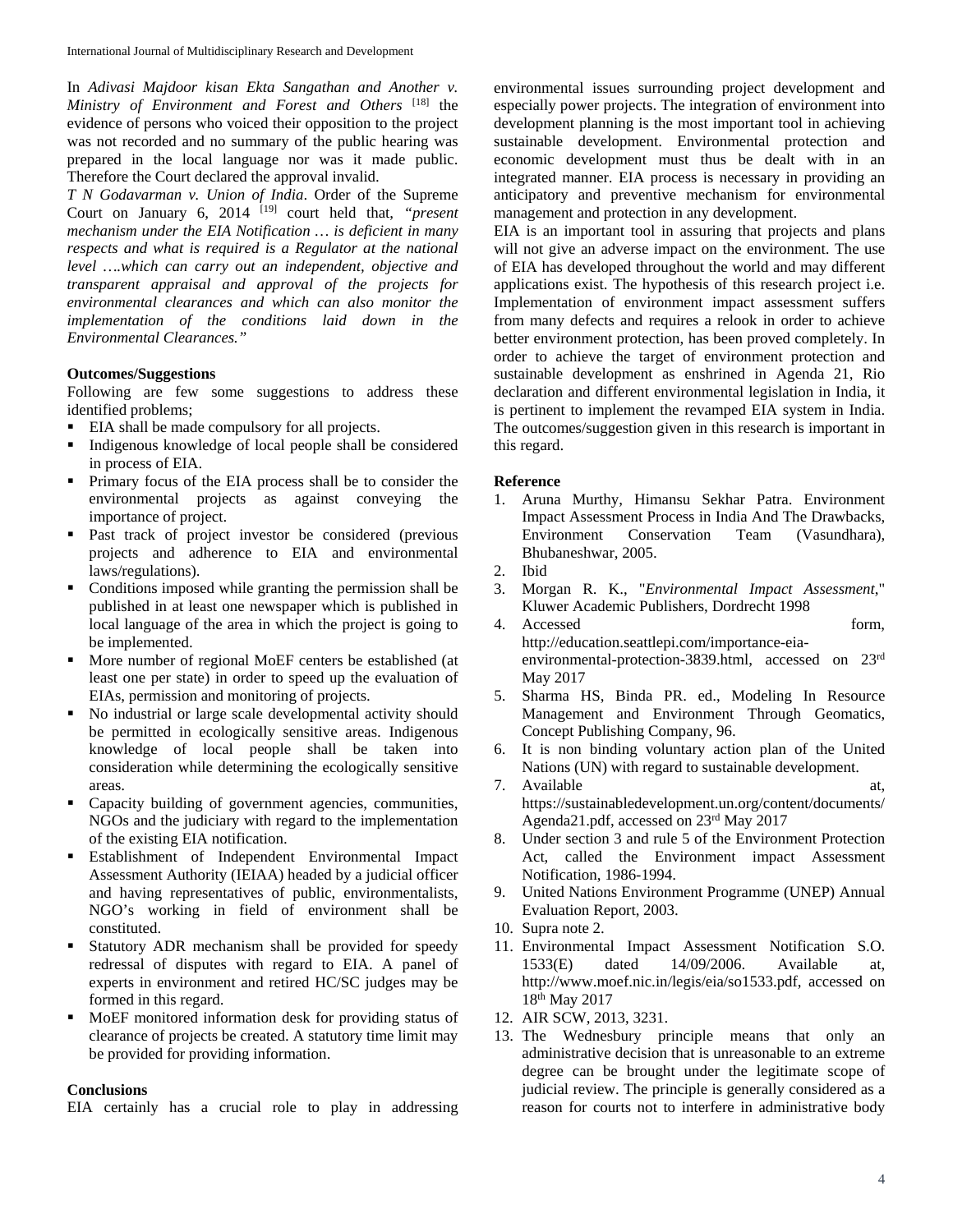In *Adivasi Majdoor kisan Ekta Sangathan and Another v. Ministry of Environment and Forest and Others* [18] the evidence of persons who voiced their opposition to the project was not recorded and no summary of the public hearing was prepared in the local language nor was it made public. Therefore the Court declared the approval invalid.

*T N Godavarman v. Union of India*. Order of the Supreme Court on January 6, 2014 [19] court held that, *"present mechanism under the EIA Notification … is deficient in many respects and what is required is a Regulator at the national level ….which can carry out an independent, objective and transparent appraisal and approval of the projects for environmental clearances and which can also monitor the implementation of the conditions laid down in the Environmental Clearances."*

## **Outcomes/Suggestions**

Following are few some suggestions to address these identified problems;

- EIA shall be made compulsory for all projects.
- Indigenous knowledge of local people shall be considered in process of EIA.
- **Primary focus of the EIA process shall be to consider the** environmental projects as against conveying the importance of project.
- Past track of project investor be considered (previous projects and adherence to EIA and environmental laws/regulations).
- Conditions imposed while granting the permission shall be published in at least one newspaper which is published in local language of the area in which the project is going to be implemented.
- More number of regional MoEF centers be established (at least one per state) in order to speed up the evaluation of EIAs, permission and monitoring of projects.
- No industrial or large scale developmental activity should be permitted in ecologically sensitive areas. Indigenous knowledge of local people shall be taken into consideration while determining the ecologically sensitive areas.
- Capacity building of government agencies, communities, NGOs and the judiciary with regard to the implementation of the existing EIA notification.
- **Establishment of Independent Environmental Impact** Assessment Authority (IEIAA) headed by a judicial officer and having representatives of public, environmentalists, NGO's working in field of environment shall be constituted.
- Statutory ADR mechanism shall be provided for speedy redressal of disputes with regard to EIA. A panel of experts in environment and retired HC/SC judges may be formed in this regard.
- MoEF monitored information desk for providing status of clearance of projects be created. A statutory time limit may be provided for providing information.

# **Conclusions**

EIA certainly has a crucial role to play in addressing

environmental issues surrounding project development and especially power projects. The integration of environment into development planning is the most important tool in achieving sustainable development. Environmental protection and economic development must thus be dealt with in an integrated manner. EIA process is necessary in providing an anticipatory and preventive mechanism for environmental management and protection in any development.

EIA is an important tool in assuring that projects and plans will not give an adverse impact on the environment. The use of EIA has developed throughout the world and may different applications exist. The hypothesis of this research project i.e. Implementation of environment impact assessment suffers from many defects and requires a relook in order to achieve better environment protection, has been proved completely. In order to achieve the target of environment protection and sustainable development as enshrined in Agenda 21, Rio declaration and different environmental legislation in India, it is pertinent to implement the revamped EIA system in India. The outcomes/suggestion given in this research is important in this regard.

#### **Reference**

- 1. Aruna Murthy, Himansu Sekhar Patra. Environment Impact Assessment Process in India And The Drawbacks, Environment Conservation Team (Vasundhara), Bhubaneshwar, 2005.
- 2. Ibid
- 3. Morgan R. K., "*Environmental Impact Assessment*," Kluwer Academic Publishers, Dordrecht 1998
- 4. Accessed form, http://education.seattlepi.com/importance-eiaenvironmental-protection-3839.html, accessed on 23rd May 2017
- 5. Sharma HS, Binda PR. ed., Modeling In Resource Management and Environment Through Geomatics, Concept Publishing Company, 96.
- 6. It is non binding voluntary action plan of the United Nations (UN) with regard to sustainable development.
- 7. Available at, https://sustainabledevelopment.un.org/content/documents/ Agenda21.pdf, accessed on 23rd May 2017
- 8. Under section 3 and rule 5 of the Environment Protection Act, called the Environment impact Assessment Notification, 1986-1994.
- 9. United Nations Environment Programme (UNEP) Annual Evaluation Report, 2003.
- 10. Supra note 2.
- 11. Environmental Impact Assessment Notification S.O. 1533(E) dated 14/09/2006. Available at, http://www.moef.nic.in/legis/eia/so1533.pdf, accessed on 18th May 2017
- 12. AIR SCW, 2013, 3231.
- 13. The Wednesbury principle means that only an administrative decision that is unreasonable to an extreme degree can be brought under the legitimate scope of judicial review. The principle is generally considered as a reason for courts not to interfere in administrative body